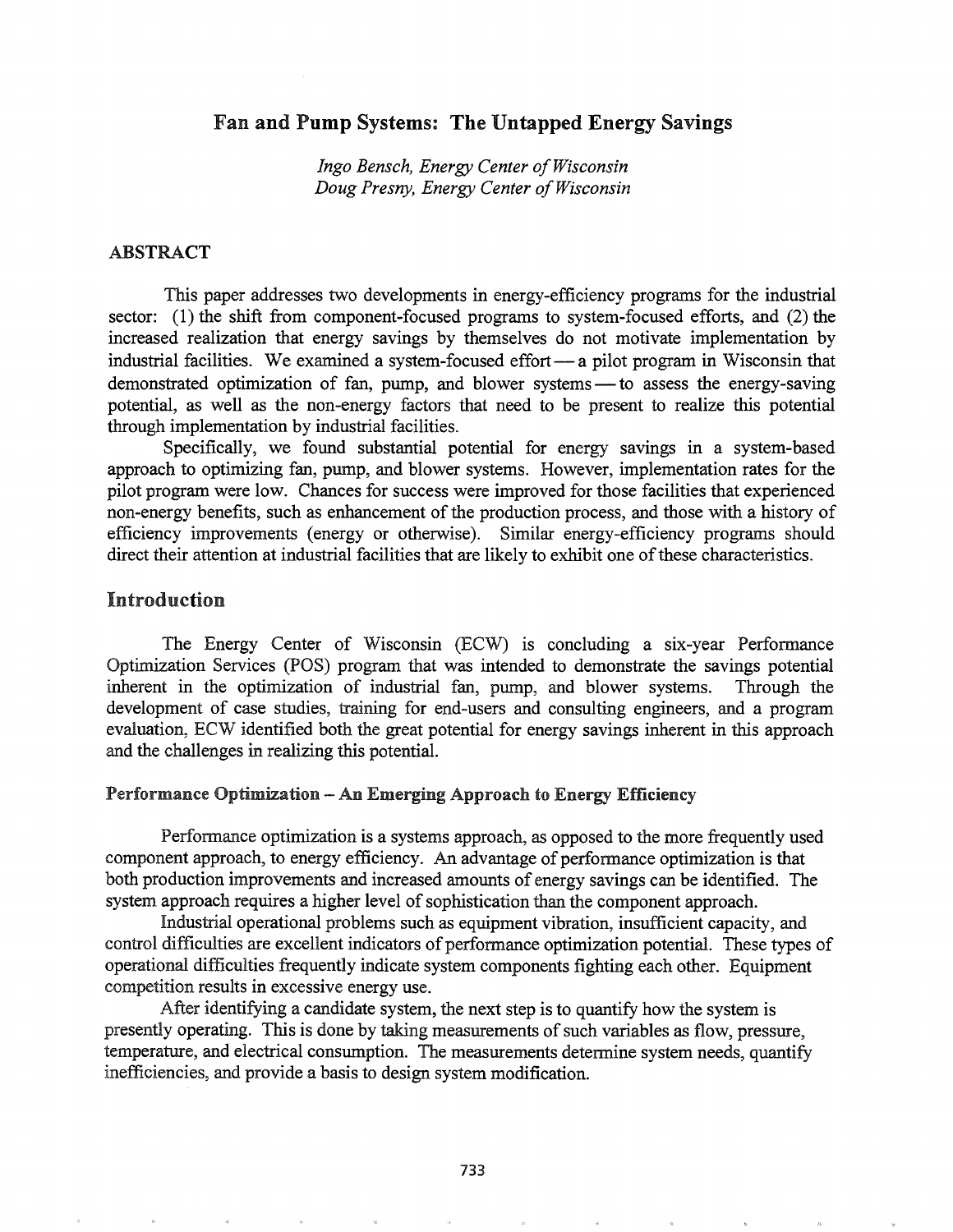# Fan and Pump Systems: The Untapped Energy Savings

*Ingo Bensch, Energy Center ofWisconsin Doug Presny, Energy Center ofWisconsin*

## ABSTRACT

This paper addresses two developments in energy-efficiency programs for the industrial sector: (1) the shift from component-focused programs to system-focused efforts, and (2) the increased realization that energy savings by themselves do not motivate implementation by industrial facilities. We examined a system-focused effort - a pilot program in Wisconsin that demonstrated optimization of fan, pump, and blower systems- to assess the energy-saving potential, as well as the non-energy factors that need to be present to realize this potential through implementation by industrial facilities.

Specifically, we found substantial potential for energy savings in a system-based approach to optimizing fan, pump, and blower systems. However, implementation rates for the pilot program were low. Chances for success were improved for those facilities that experienced non-energy benefits, such as enhancement of the production process, and those with a history of efficiency improvements (energy or otherwise). Similar energy-efficiency programs should direct their attention at industrial facilities that are likely to exhibit one of these characteristics.

# Introduction

The Energy Center of Wisconsin (ECW) is concluding a six-year Performance Optimization Services (POS) program that was intended to demonstrate the savings potential inherent in the optimization of industrial fan, pump, and blower systems. Through the development of case studies, training for end-users and consulting engineers, and a program evaluation, ECW identified both the great potential for energy savings inherent in this approach and the challenges in realizing this potentiaL

### Performance Optimization - An Emerging Approach to Energy Efficiency

Performance optimization is a systems approach, as opposed to the more frequently used component approach, to energy efficiency. An advantage of performance optimization is that both production improvements and increased amounts of energy savings can be identified.. The system approach requires a higher level of sophistication than the component approach.

Industrial operational problems such as equipment vibration, insufficient capacity, and control difficulties are excellent indicators of performance optimization potential. These types of operational difficulties frequently indicate system components fighting each other. Equipment competition results in excessive energy use.

After identifying a candidate system, the next step is to quantify how the system is presently operating. This is done by taking measurements of such variables as flow, pressure, temperature, and electrical consumption. The measurements determine system needs, quantify inefficiencies, and provide a basis to design system modification.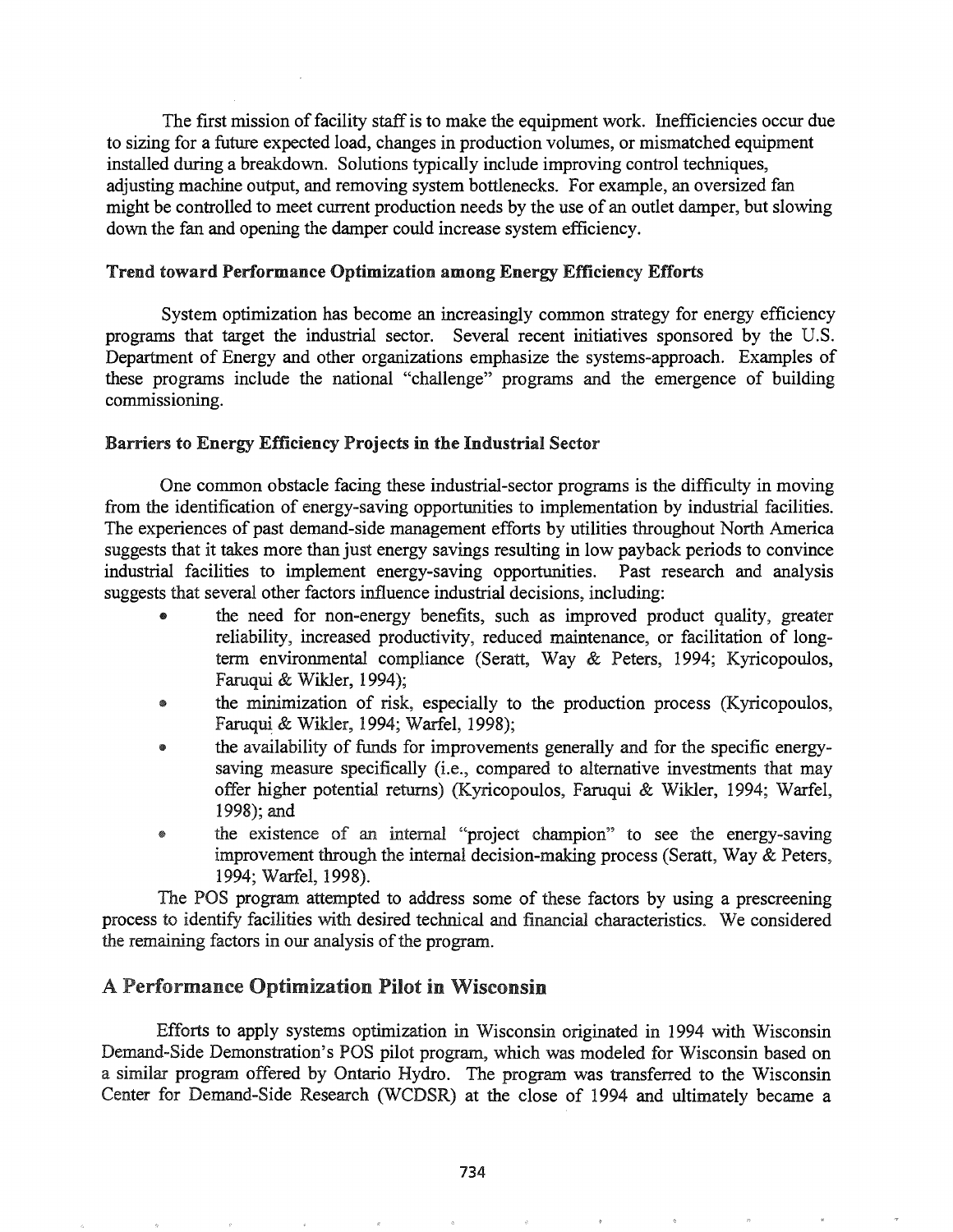The first mission of facility staff is to make the equipment work. Inefficiencies occur due to sizing for a future expected load, changes in production volumes, or mismatched equipment installed during a breakdown. Solutions typically include improving control techniques, adjusting machine output, and removing system bottlenecks. For example, an oversized fan might be controlled to meet current production needs by the use of an outlet damper, but slowing down the fan and opening the damper could increase system efficiency.

### Trend toward Performance Optimization among Energy Efficiency Efforts

System optimization has become an increasingly common strategy for energy efficiency programs that target the industrial sector. Several recent initiatives sponsored by the U.S. Department of Energy and other organizations emphasize the systems-approach. Examples of these programs include the national "challenge" programs and the emergence of building commissioning.

## Barriers to Energy Efficiency Projects in the Industrial Sector

One common obstacle facing these industrial-sector programs is the difficulty in moving from the identification of energy-saving opportunities to implementation by industrial facilities. The experiences of past demand-side management efforts by utilities throughout North America suggests that it takes more than just energy savings resulting in low payback periods to convince industrial facilities to implement energy-saving opportunities. Past research and analysis suggests that several other factors influence industrial decisions, including:

- the need for non-energy benefits, such as improved product quality, greater reliability, increased productivity, reduced maintenance, or facilitation of longtenn environmental compliance (Seratt, Way & Peters, 1994; Kyricopoulos, Faruqui & Wikler, 1994);
- the minimization of risk, especially to the production process (Kyricopoulos, Faruqui & Wikler, 1994; Warfel, 1998);
- the availability of funds for improvements generally and for the specific energysaving measure specifically (i.e., compared to alternative investments that may offer higher potential returns) (Kyricopoulos, Faruqui & Wikler, 1994; Warfel, 1998); and
- the existence of an internal "project champion" to see the energy-saving improvement through the internal decision-making process (Seratt, Way & Peters, 1994; Warfel, 1998).

The POS program attempted to address some of these factors by using a prescreening process to identify facilities with desired technical and financial characteristics. We considered the remaining factors in our analysis of the program.

# A Performance Optimization Pilot in Wisconsin

Efforts to apply systems optimization in Wisconsin originated in 1994 with Wisconsin Demand-Side Demonstration's POS pilot program, which was modeled for Wisconsin based on a similar program offered by Ontario Hydro. The program was transferred to the Wisconsin Center for Demand-Side Research (WCDSR) at the close of 1994 and ultimately became a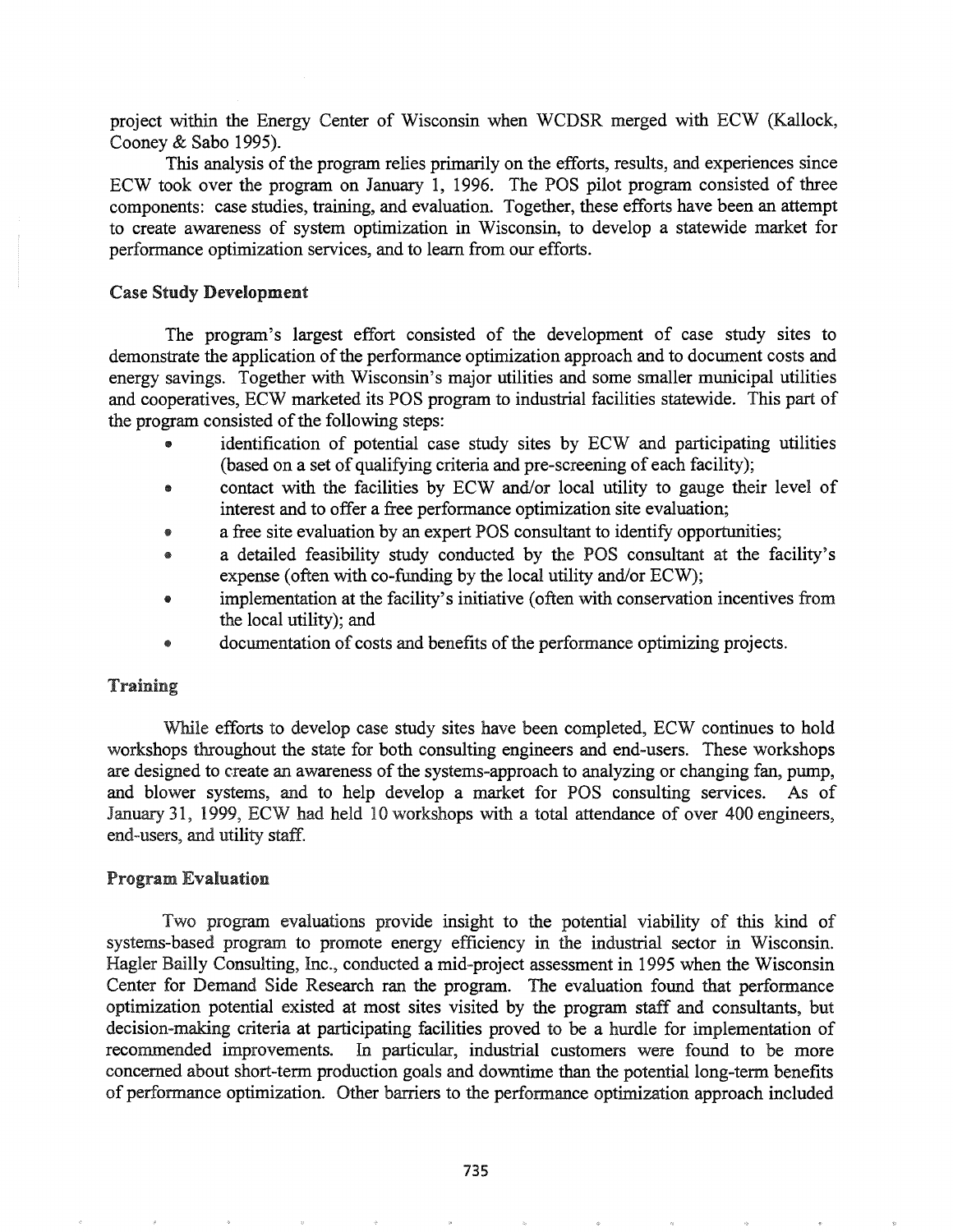project within the Energy Center of Wisconsin when WCDSR merged with ECW (Kallock, Cooney & Sabo 1995).

This analysis of the program relies primarily on the efforts, results, and experiences since ECW took over the program on January 1, 1996. The POS pilot program consisted of three components: case studies, training, and evaluation. Together, these efforts have been an attempt to create awareness of system optimization in Wisconsin, to develop a statewide market for performance optimization services, and to learn from our efforts.

### Case Study Development

The program's largest effort consisted of the development of case study sites to demonstrate the application of the performance optimization approach and to document costs and energy savings. Together with Wisconsin's major utilities and some smaller municipal utilities and cooperatives, ECW marketed its POS program to industrial facilities statewide. This part of the program consisted of the following steps:

- identification of potential case study sites by ECW and participating utilities (based on a set of qualifying criteria and pre-screening of each facility);
- e contact with the facilities by ECW and/or local utility to gauge their level of interest and to offer a free performance optimization site evaluation;
- a free site evaluation by an expert POS consultant to identify opportunities;
- @ a detailed feasibility study conducted by the POS consultant at the facility's expense (often with co-funding by the local utility and/or ECW);
- implementation at the facility's initiative (often with conservation incentives from the local utility); and
- documentation of costs and benefits of the performance optimizing projects.

## Training

While efforts to develop case study sites have been completed, ECW continues to hold workshops throughout the state for both consulting engineers and end-users. These workshops are designed to create an awareness of the systems-approach to analyzing or changing fan, pump, and blower systems, and to help develop a market for POS consulting services. As of January 31, 1999, ECW had held 10 workshops with a total attendance of over 400 engineers, end-users, and utility staff.

#### Program Evaluation

Two program evaluations provide insight to the potential viability of this kind of systems-based program to promote energy efficiency in the industrial sector in Wisconsin. Hagler Bailly Consulting, Inc., conducted a mid-project assessment in 1995 when the Wisconsin Center for Demand Side Research ran the program. The evaluation found that performance optimization potential existed at most sites visited by the program staff and consultants, but decision-making criteria at participating facilities proved to be a hurdle for implementation of recommended improvements. In particular, industrial customers were found to be more concerned about short-term production goals and dovvntime than the potential long-term benefits of perfonnance optimization. Other barriers to the performance optimization approach included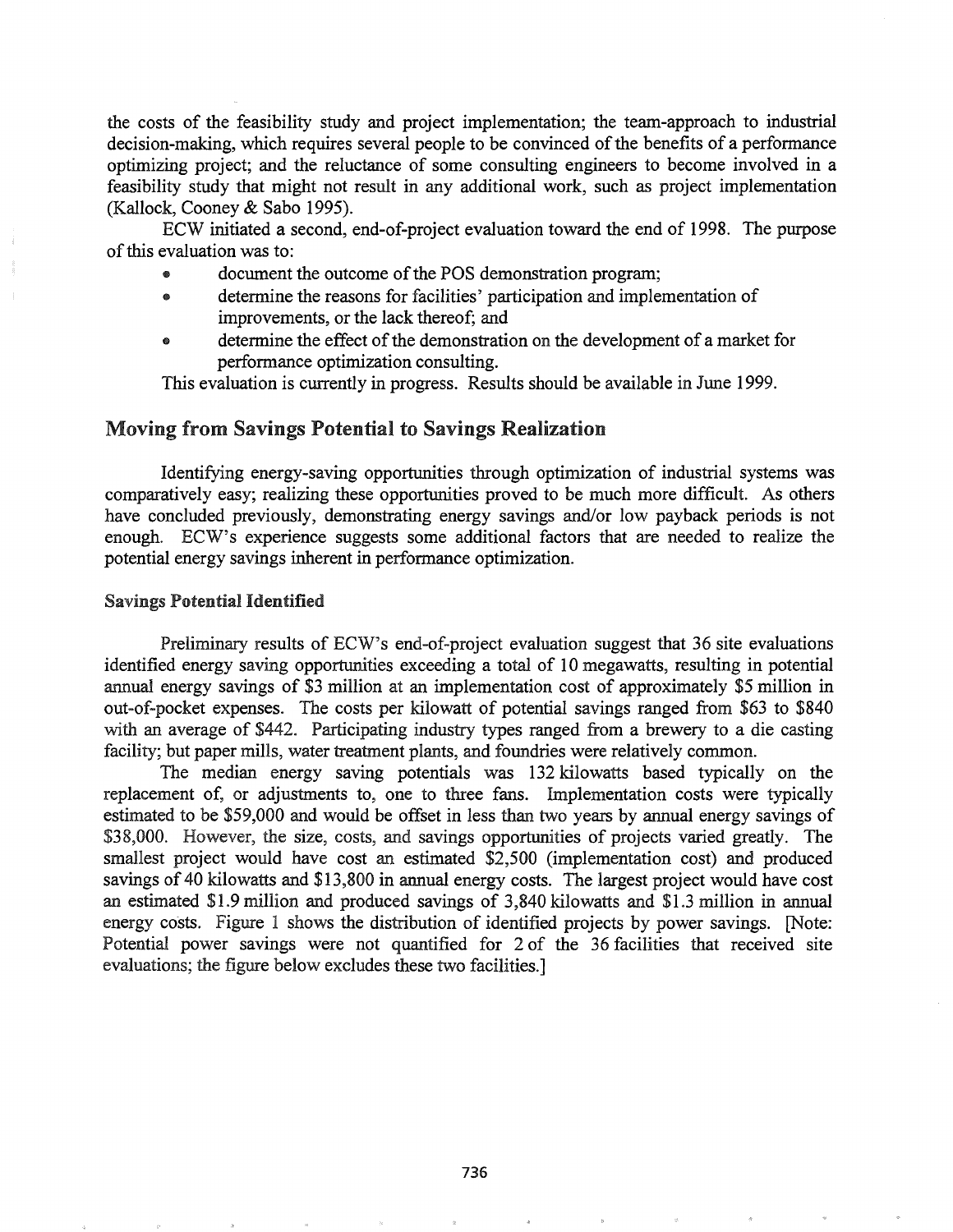the costs of the feasibility study and project implementation; the team-approach to industrial decision-making, which requires several people to be convinced of the benefits of a performance optimizing project; and the reluctance of some consulting engineers to become involved in a feasibility study that might not result in any additional work, such as project implementation (Kallock, Cooney & Sabo 1995).

ECW initiated a second, end-of-project evaluation toward the end of 1998. The purpose of this evaluation was to:

- document the outcome of the POS demonstration program;
- .. determine the reasons for facilities' participation and implementation of improvements, or the lack thereof; and
- determine the effect of the demonstration on the development of a market for performance optimization consulting.

This evaluation is currently in progress. Results should be available in June 1999.

# Moving from Savings Potential to Savings Realization

Identifying energy-saving opportunities through optimization of industrial systems was comparatively easy; realizing these opportunities proved to be much more difficult. As others have concluded previously, demonstrating energy savings and/or low payback periods is not enough. ECW's experience suggests some additional factors that are needed to realize the potential energy savings inherent in performance optimization.

### Savings Potential Identified

Preliminary results of ECW's end-of-project evaluation suggest that 36 site evaluations identified energy saving opportunities exceeding a total of 10 megawatts, resulting in potential annual energy savings of \$3 million at an implementation cost of approximately \$5 million in out-of-pocket expenses. The costs per kilowatt of potential savings ranged from \$63 to \$840 with an average of \$442. Participating industry types ranged from a brewery to a die casting facility; but paper mills, water treatment plants, and foundries were relatively common.

The median energy saving potentials was 132 kilowatts based typically on the replacement of, or adjustments to, one to three fans. Implementation costs were typically estimated to be \$59,000 and would be offset in less than two years by annual energy savings of \$38,000. However, the size, costs, and savings opportunities of projects varied greatly. The smallest project would have cost an estimated \$2,500 (implementation cost) and produced savings of 40 kilowatts and \$13,800 in annual energy costs. The largest project would have cost an estimated \$1.9 million and produced savings of  $3,840$  kilowatts and \$1.3 million in annual energy costs. Figure 1 shows the distribution of identified projects by power savings. [Note: Potential power savings were not quantified for 2 of the 36 facilities that received site evaluations; the figure below excludes these two facilities.]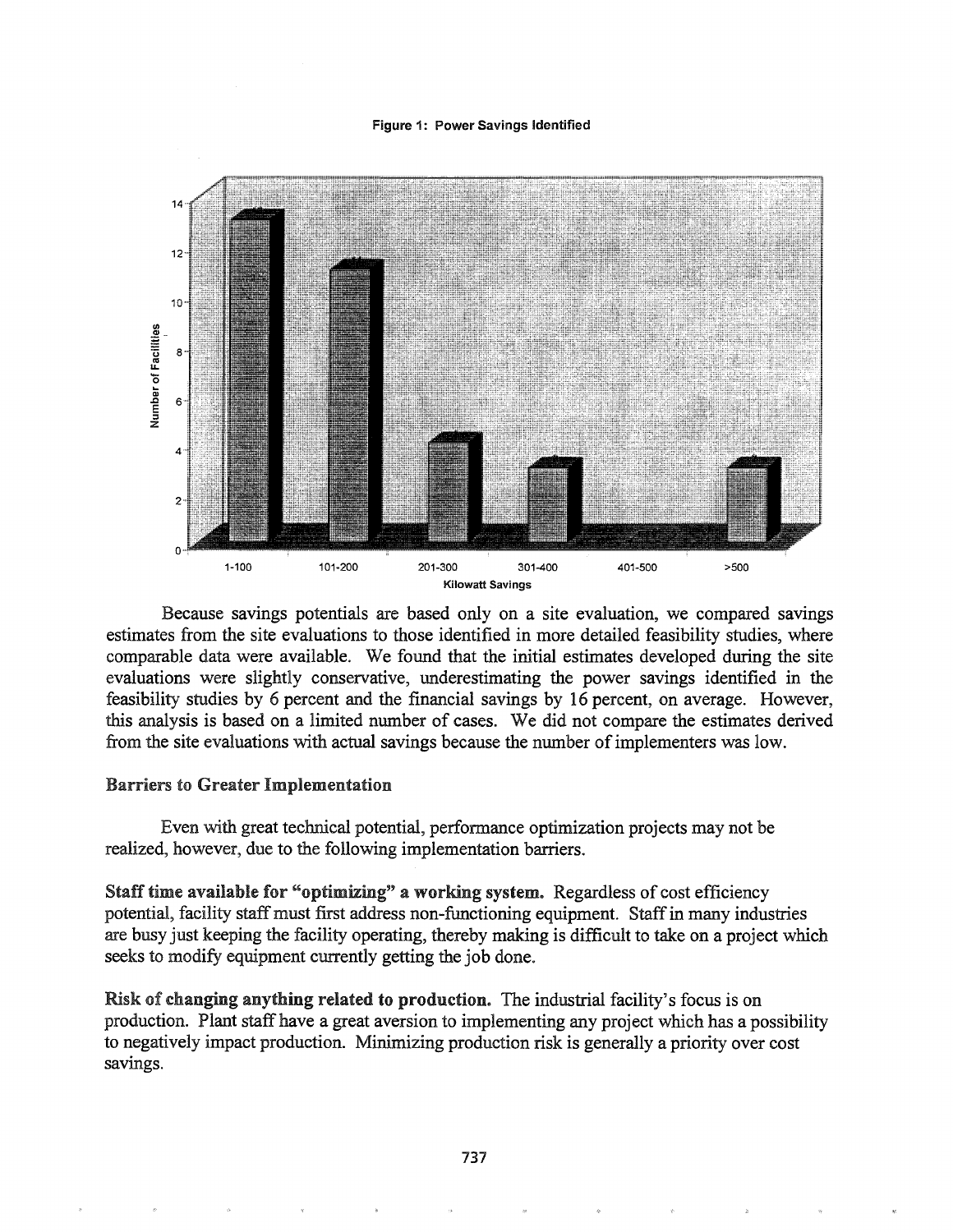#### Figure 1: Power Savings Identified



Because savings potentials are based only on a site evaluation, we compared savings estimates from the site evaluations to those identified in more detailed feasibility studies, where comparable data were available. We found that the initial estimates developed during the site evaluations were slightly conservative, underestimating the power savings identified in the feasibility studies by 6 percent and the financial savings by 16 percent, on average. However, this analysis is based on a limited number of cases. We did not compare the estimates derived from the site evaluations with actual savings because the number of implementers was low.

#### Barriers to Greater Implementation

Even with great technical potential, performance optimization projects may not be realized, however, due to the following implementation barriers.

Staff time available for "optimizing" a working system. Regardless of cost efficiency potential, facility staff must first address non-functioning equipment. Staff in many industries are busy just keeping the facility operating, thereby making is difficult to take on a project which seeks to modify equipment currently getting the job done.

Risk of changing anything related to production. The industrial facility's focus is on production. Plant staffhave a great aversion to implementing any project which has a possibility to negatively impact production. Minimizing production risk is generally a priority over cost savings.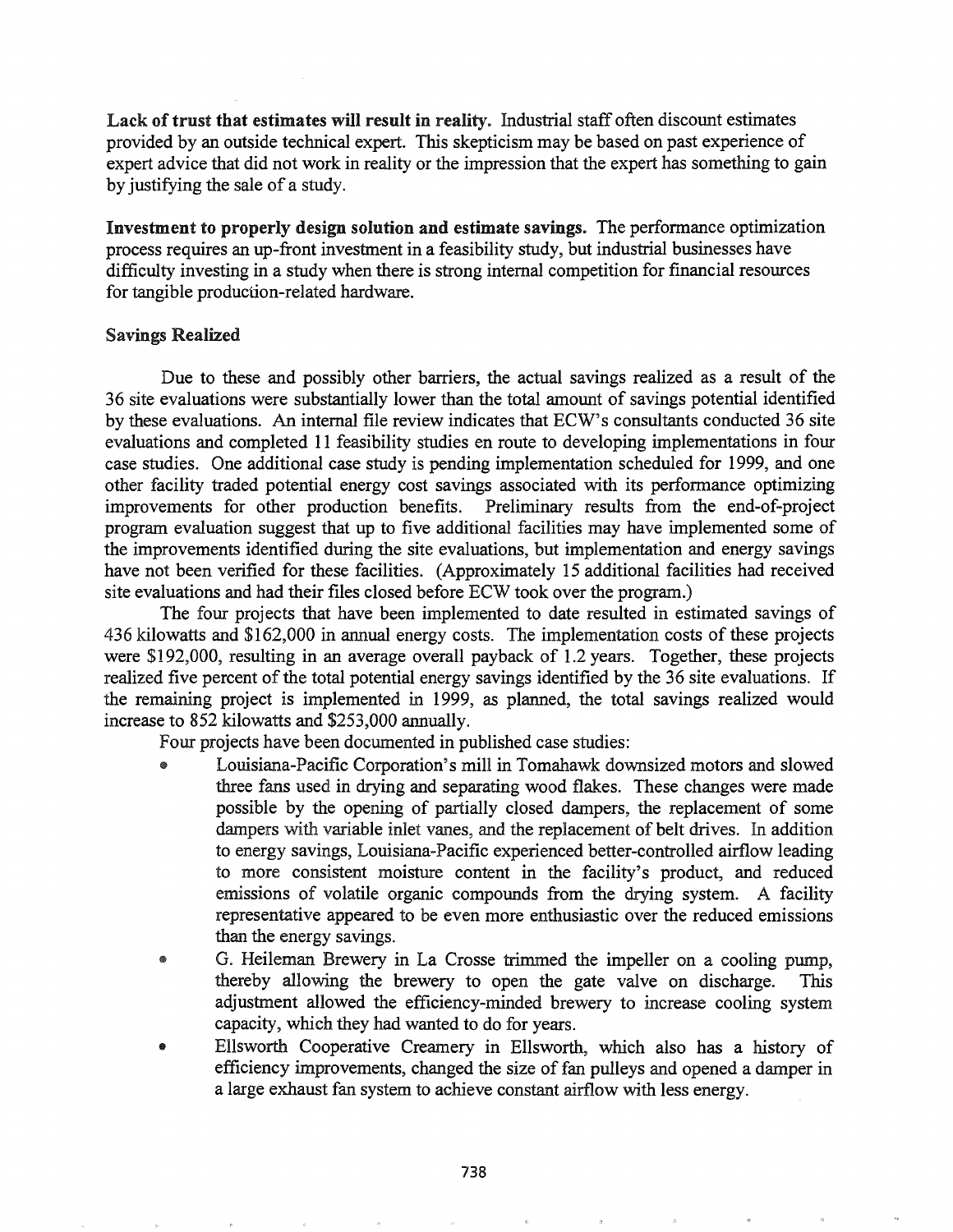Lack of trust that estimates will result in reality. Industrial staff often discount estimates provided by an outside technical expert. This skepticism may be based on past experience of expert advice that did not work in reality or the impression that the expert has something to gain by justifying the sale of a study.

Investment to properly design solution and estimate savings. The performance optimization process requires an up-front investment in a feasibility study, but industrial businesses have difficulty investing in a study when there is strong internal competition for financial resources for tangible production-related hardware.

## Savings Realized

Due to these and possibly other barriers, the actual savings realized as a result of the 36 site evaluations were substantially lower than the total amount of savings potential identified by these evaluations. An internal file review indicates that ECW's consultants conducted 36 site evaluations and completed 11 feasibility studies en route to developing implementations in four case studies. One additional case study is pending implementation scheduled for 1999, and one other facility traded potential energy cost savings associated with its performance optimizing improvements for other production benefits. Preliminary results from the end-of-project program evaluation suggest that up to five additional facilities may have implemented some of the improvements identified during the site evaluations, but implementation and energy savings have not been verified for these facilities. (Approximately 15 additional facilities had received site evaluations and had their files closed before ECW took over the program.)

The four projects that have been implemented to date resulted in estimated savings of 436 kilowatts and \$162,000 in annual energy costs. The implementation costs of these projects were \$192,000, resulting in an average overall payback of 1.2 years. Together, these projects realized five percent of the total potential energy savings identified by the 36 site evaluations. If the remaining project is implemented in 1999, as planned, the total savings realized would increase to 852 kilowatts and \$253,000 annually.

Four projects have been documented in published case studies:

- Louisiana-Pacific Corporation's mill in Tomahawk downsized motors and slowed three fans used in drying and separating wood flakes. These changes were made possible by the opening of partially closed dampers, the replacement of some dampers with variable inlet vanes, and the replacement of belt drives. In addition to energy savings, Louisiana-Pacific experienced better-controlled airflow leading to more consistent moisture content in the facility's product, and reduced emissions of volatile organic compounds from the drying system. A facility representative appeared to be even more enthusiastic over the reduced emissions than the energy savings.
- G. Heileman Brewery in La Crosse trimmed the impeller on a cooling pump, thereby allowing the brewery to open the gate valve on discharge. This adjustment allowed the efficiency-minded brewery to increase cooling system capacity, which they had wanted to do for years.
- Ellsworth Cooperative Creamery in Ellsworth, which also has a history of efficiency improvements, changed the size of fan pulleys and opened a damper in a large exhaust fan system to achieve constant airflow with less energy.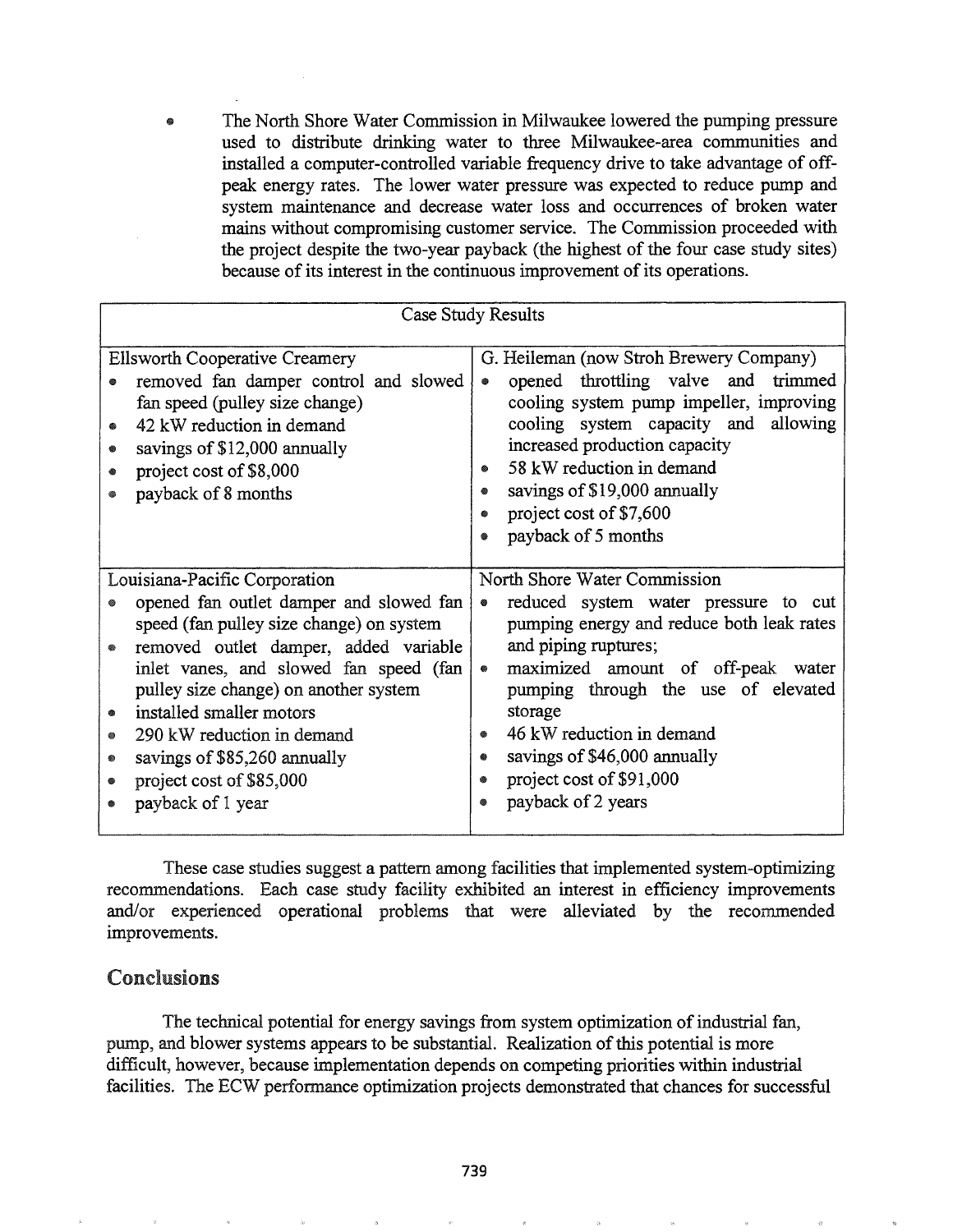The North Shore Water Commission in Milwaukee lowered the pumping pressure  $\bullet$ used to distribute drinking water to three Milwaukee-area communities and installed a computer-controlled variable frequency drive to take advantage of offpeak energy rates. The lower water pressure was expected to reduce pump and system maintenance and decrease water loss and occurrences of broken water mains without compromising customer service. The Commission proceeded with the project despite the two-year payback (the highest of the four case study sites) because of its interest in the continuous improvement of its operations.

| Case Study Results                                                                                                                                                                                                                                                                                                                                                                                    |                                                                                                                                                                                                                                                                                                                                                                                          |
|-------------------------------------------------------------------------------------------------------------------------------------------------------------------------------------------------------------------------------------------------------------------------------------------------------------------------------------------------------------------------------------------------------|------------------------------------------------------------------------------------------------------------------------------------------------------------------------------------------------------------------------------------------------------------------------------------------------------------------------------------------------------------------------------------------|
| <b>Ellsworth Cooperative Creamery</b><br>removed fan damper control and slowed<br>fan speed (pulley size change)<br>42 kW reduction in demand<br>۵<br>savings of \$12,000 annually<br>●<br>project cost of \$8,000<br>payback of 8 months                                                                                                                                                             | G. Heileman (now Stroh Brewery Company)<br>opened throttling valve and trimmed<br>$\bullet$<br>cooling system pump impeller, improving<br>cooling system capacity and allowing<br>increased production capacity<br>58 kW reduction in demand<br>savings of \$19,000 annually<br>۰<br>project cost of \$7,600<br>۰<br>payback of 5 months<br>۵                                            |
| Louisiana-Pacific Corporation<br>opened fan outlet damper and slowed fan<br>speed (fan pulley size change) on system<br>removed outlet damper, added variable<br>inlet vanes, and slowed fan speed (fan<br>pulley size change) on another system<br>installed smaller motors<br>290 kW reduction in demand<br>▩<br>savings of \$85,260 annually<br>۰<br>project cost of \$85,000<br>payback of 1 year | North Shore Water Commission<br>reduced system water pressure to cut<br>۰<br>pumping energy and reduce both leak rates<br>and piping ruptures;<br>maximized amount of off-peak water<br>$\qquad \qquad \circ$<br>pumping through the use of elevated<br>storage<br>46 kW reduction in demand<br>۰<br>savings of \$46,000 annually<br>project cost of \$91,000<br>۰<br>payback of 2 years |

These case studies suggest a pattern among facilities that implemented system-optimizing recommendations. Each case study facility exhibited an interest in efficiency improvements and/or experienced operational problems that were alleviated by the recommended improvements.

# Conclusions

The technical potential for energy savings from system optimization of industrial fan, pump, and blower systems appears to be substantial. Realization of this potential is more difficult, however, because implementation depends on competing priorities within industrial facilities. The ECW performance optimization projects demonstrated that chances for successful